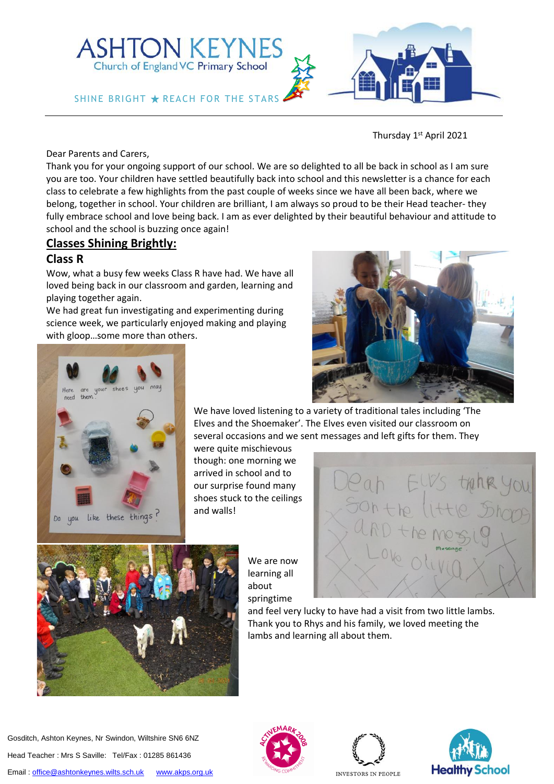

Thursday 1<sup>st</sup> April 2021

Dear Parents and Carers,

Thank you for your ongoing support of our school. We are so delighted to all be back in school as I am sure you are too. Your children have settled beautifully back into school and this newsletter is a chance for each class to celebrate a few highlights from the past couple of weeks since we have all been back, where we belong, together in school. Your children are brilliant, I am always so proud to be their Head teacher- they fully embrace school and love being back. I am as ever delighted by their beautiful behaviour and attitude to school and the school is buzzing once again!

### **Classes Shining Brightly:**

#### **Class R**

Wow, what a busy few weeks Class R have had. We have all loved being back in our classroom and garden, learning and playing together again.

SHINE BRIGHT  $\bigstar$  reach for the stars

**ASHTON KEYNES** Church of England VC Primary School

We had great fun investigating and experimenting during science week, we particularly enjoyed making and playing with gloop…some more than others.





We have loved listening to a variety of traditional tales including 'The Elves and the Shoemaker'. The Elves even visited our classroom on several occasions and we sent messages and left gifts for them. They

were quite mischievous though: one morning we arrived in school and to our surprise found many shoes stuck to the ceilings and walls!



We are now learning all about springtime



and feel very lucky to have had a visit from two little lambs. Thank you to Rhys and his family, we loved meeting the lambs and learning all about them.









**INVESTORS IN PEOPLE**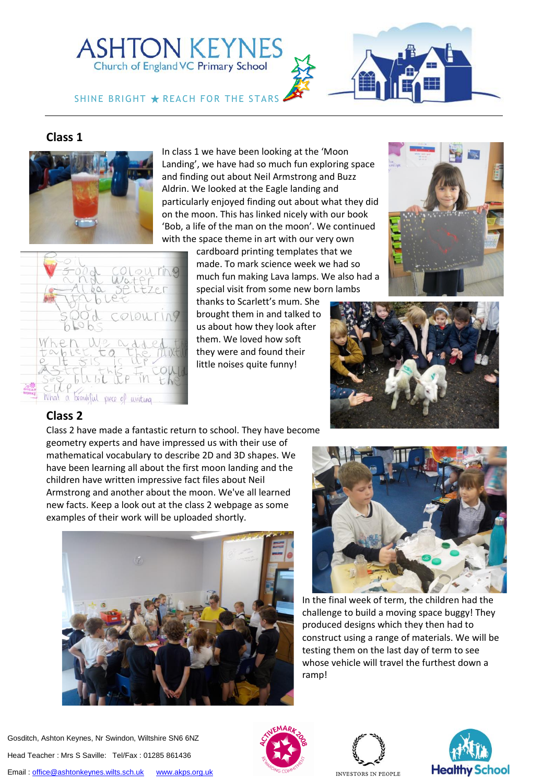



SHINE BRIGHT  $\bigstar$  reach for the stars

# **Class 1**



In class 1 we have been looking at the 'Moon Landing', we have had so much fun exploring space and finding out about Neil Armstrong and Buzz Aldrin. We looked at the Eagle landing and particularly enjoyed finding out about what they did on the moon. This has linked nicely with our book 'Bob, a life of the man on the moon'. We continued with the space theme in art with our very own

> cardboard printing templates that we made. To mark science week we had so much fun making Lava lamps. We also had a special visit from some new born lambs

thanks to Scarlett's mum. She brought them in and talked to us about how they look after them. We loved how soft they were and found their little noises quite funny!





## **Class 2**

What a beauliful piece of writing

Class 2 have made a fantastic return to school. They have become geometry experts and have impressed us with their use of mathematical vocabulary to describe 2D and 3D shapes. We have been learning all about the first moon landing and the children have written impressive fact files about Neil Armstrong and another about the moon. We've all learned new facts. Keep a look out at the class 2 webpage as some examples of their work will be uploaded shortly.





In the final week of term, the children had the challenge to build a moving space buggy! They produced designs which they then had to construct using a range of materials. We will be testing them on the last day of term to see whose vehicle will travel the furthest down a ramp!





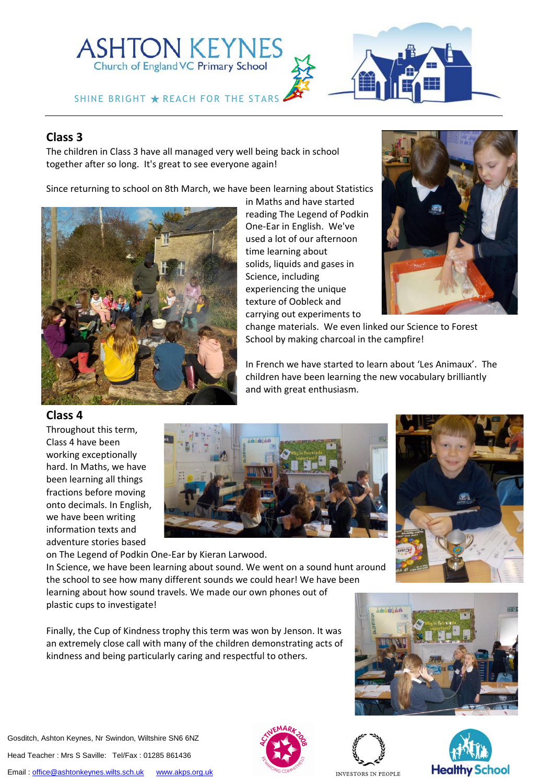# ASHTON KEYNES

#### SHINE BRIGHT  $\bigstar$  reach for the stars

### **Class 3**

The children in Class 3 have all managed very well being back in school together after so long. It's great to see everyone again!

Since returning to school on 8th March, we have been learning about Statistics



in Maths and have started reading The Legend of Podkin One-Ear in English. We've used a lot of our afternoon time learning about solids, liquids and gases in Science, including experiencing the unique texture of Oobleck and carrying out experiments to



change materials. We even linked our Science to Forest School by making charcoal in the campfire!

In French we have started to learn about 'Les Animaux'. The children have been learning the new vocabulary brilliantly and with great enthusiasm.





on The Legend of Podkin One-Ear by Kieran Larwood. In Science, we have been learning about sound. We went on a sound hunt around the school to see how many different sounds we could hear! We have been learning about how sound travels. We made our own phones out of plastic cups to investigate!

Finally, the Cup of Kindness trophy this term was won by Jenson. It was an extremely close call with many of the children demonstrating acts of kindness and being particularly caring and respectful to others.





**INVESTORS IN PEOPLE** 



Gosditch, Ashton Keynes, Nr Swindon, Wiltshire SN6 6NZ Head Teacher : Mrs S Saville: Tel/Fax : 01285 861436

Email [: office@ashtonkeynes.wilts.sch.uk](mailto:office@ashtonkeynes.wilts.sch.uk) [www.akps.org.uk](http://www.akps.org.uk/)

**Class 4**

Throughout this term, Class 4 have been working exceptionally hard. In Maths, we have been learning all things fractions before moving onto decimals. In English, we have been writing information texts and adventure stories based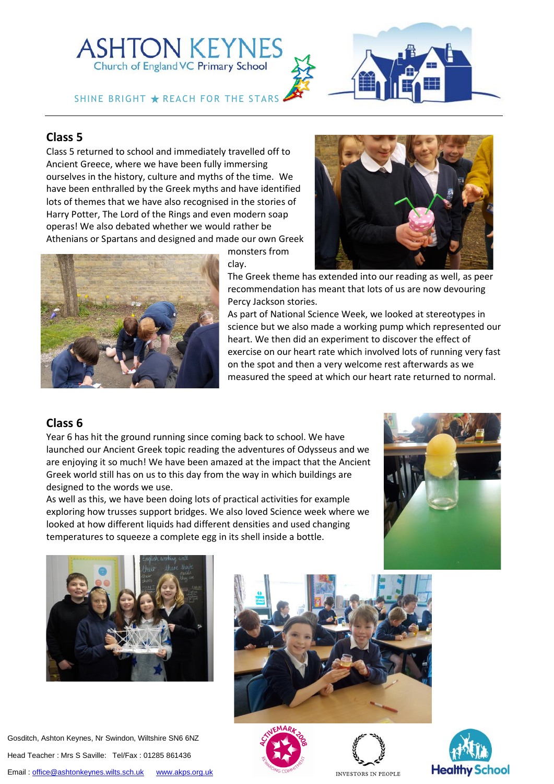# **ASHTON KEYNES** Church of England VC Primary School

SHINE BRIGHT  $\bigstar$  reach for the stars



# **Class 5**

Class 5 returned to school and immediately travelled off to Ancient Greece, where we have been fully immersing ourselves in the history, culture and myths of the time. We have been enthralled by the Greek myths and have identified lots of themes that we have also recognised in the stories of Harry Potter, The Lord of the Rings and even modern soap operas! We also debated whether we would rather be Athenians or Spartans and designed and made our own Greek



monsters from clay.



recommendation has meant that lots of us are now devouring Percy Jackson stories.

As part of National Science Week, we looked at stereotypes in science but we also made a working pump which represented our heart. We then did an experiment to discover the effect of exercise on our heart rate which involved lots of running very fast on the spot and then a very welcome rest afterwards as we measured the speed at which our heart rate returned to normal.

## **Class 6**

Year 6 has hit the ground running since coming back to school. We have launched our Ancient Greek topic reading the adventures of Odysseus and we are enjoying it so much! We have been amazed at the impact that the Ancient Greek world still has on us to this day from the way in which buildings are designed to the words we use.

As well as this, we have been doing lots of practical activities for example exploring how trusses support bridges. We also loved Science week where we looked at how different liquids had different densities and used changing temperatures to squeeze a complete egg in its shell inside a bottle.





Gosditch, Ashton Keynes, Nr Swindon, Wiltshire SN6 6NZ Head Teacher : Mrs S Saville: Tel/Fax : 01285 861436 Email[: office@ashtonkeynes.wilts.sch.uk](mailto:office@ashtonkeynes.wilts.sch.uk) [www.akps.org.uk](http://www.akps.org.uk/)









**INVESTORS IN PEOPLE**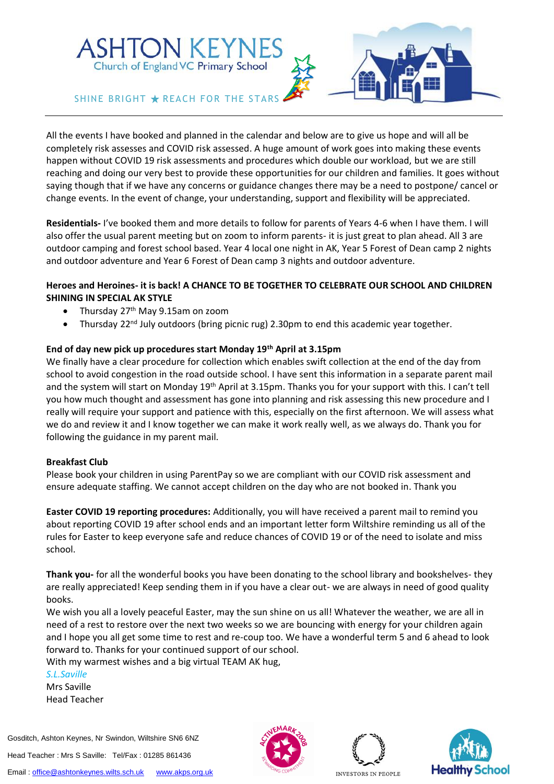# **ASHTON KEYNES** Church of England VC Primary School



#### SHINE BRIGHT  $\bigstar$  reach for the stars

All the events I have booked and planned in the calendar and below are to give us hope and will all be completely risk assesses and COVID risk assessed. A huge amount of work goes into making these events happen without COVID 19 risk assessments and procedures which double our workload, but we are still reaching and doing our very best to provide these opportunities for our children and families. It goes without saying though that if we have any concerns or guidance changes there may be a need to postpone/ cancel or change events. In the event of change, your understanding, support and flexibility will be appreciated.

**Residentials-** I've booked them and more details to follow for parents of Years 4-6 when I have them. I will also offer the usual parent meeting but on zoom to inform parents- it is just great to plan ahead. All 3 are outdoor camping and forest school based. Year 4 local one night in AK, Year 5 Forest of Dean camp 2 nights and outdoor adventure and Year 6 Forest of Dean camp 3 nights and outdoor adventure.

#### **Heroes and Heroines- it is back! A CHANCE TO BE TOGETHER TO CELEBRATE OUR SCHOOL AND CHILDREN SHINING IN SPECIAL AK STYLE**

- Thursday  $27<sup>th</sup>$  May 9.15am on zoom
- Thursday 22<sup>nd</sup> July outdoors (bring picnic rug) 2.30pm to end this academic year together.

#### **End of day new pick up procedures start Monday 19th April at 3.15pm**

We finally have a clear procedure for collection which enables swift collection at the end of the day from school to avoid congestion in the road outside school. I have sent this information in a separate parent mail and the system will start on Monday 19<sup>th</sup> April at 3.15pm. Thanks you for your support with this. I can't tell you how much thought and assessment has gone into planning and risk assessing this new procedure and I really will require your support and patience with this, especially on the first afternoon. We will assess what we do and review it and I know together we can make it work really well, as we always do. Thank you for following the guidance in my parent mail.

#### **Breakfast Club**

Please book your children in using ParentPay so we are compliant with our COVID risk assessment and ensure adequate staffing. We cannot accept children on the day who are not booked in. Thank you

**Easter COVID 19 reporting procedures:** Additionally, you will have received a parent mail to remind you about reporting COVID 19 after school ends and an important letter form Wiltshire reminding us all of the rules for Easter to keep everyone safe and reduce chances of COVID 19 or of the need to isolate and miss school.

**Thank you-** for all the wonderful books you have been donating to the school library and bookshelves- they are really appreciated! Keep sending them in if you have a clear out- we are always in need of good quality books.

We wish you all a lovely peaceful Easter, may the sun shine on us all! Whatever the weather, we are all in need of a rest to restore over the next two weeks so we are bouncing with energy for your children again and I hope you all get some time to rest and re-coup too. We have a wonderful term 5 and 6 ahead to look forward to. Thanks for your continued support of our school.

With my warmest wishes and a big virtual TEAM AK hug,

*S.L.Saville* Mrs Saville Head Teacher

Gosditch, Ashton Keynes, Nr Swindon, Wiltshire SN6 6NZ

Head Teacher : Mrs S Saville: Tel/Fax : 01285 861436







**INVESTORS IN PEOPLE**